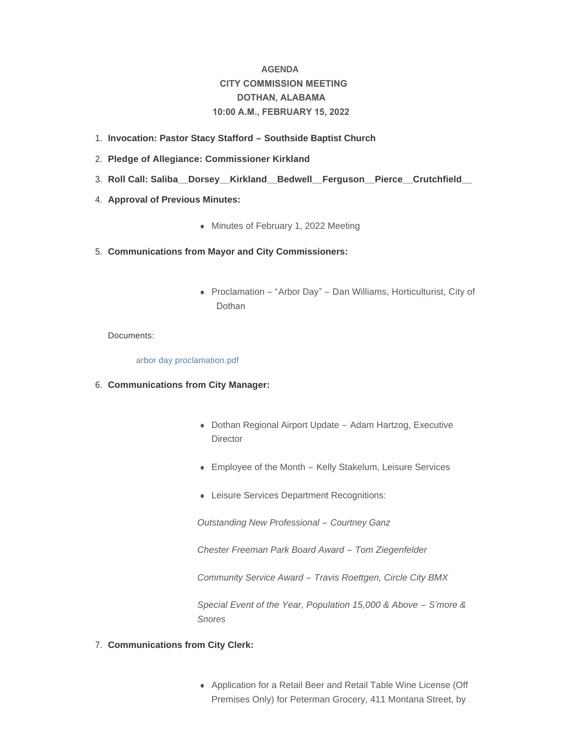# **AGENDA CITY COMMISSION MEETING DOTHAN, ALABAMA 10:00 A.M., FEBRUARY 15, 2022**

- **Invocation: Pastor Stacy Stafford – Southside Baptist Church**  1.
- **Pledge of Allegiance: Commissioner Kirkland** 2.
- **Roll Call: Saliba\_\_Dorsey\_\_Kirkland\_\_Bedwell\_\_Ferguson\_\_Pierce\_\_Crutchfield\_\_**  3.
- 4. **Approval of Previous Minutes:** 
	- Minutes of February 1, 2022 Meeting
- **Communications from Mayor and City Commissioners:** 5.
	- Proclamation "Arbor Day" Dan Williams, Horticulturist, City of Dothan

Documents:

#### [arbor day proclamation.pdf](http://www.dothan.org/AgendaCenter/ViewFile/Item/7603?fileID=11936)

- **Communications from City Manager:** 6.
	- Dothan Regional Airport Update Adam Hartzog, Executive **Director**
	- Employee of the Month Kelly Stakelum, Leisure Services
	- Leisure Services Department Recognitions:

*Outstanding New Professional – Courtney Ganz*

*Chester Freeman Park Board Award – Tom Ziegenfelder*

*Community Service Award – Travis Roettgen, Circle City BMX*

*Special Event of the Year, Population 15,000 & Above – S'more & Snores*

- **Communications from City Clerk:** 7.
	- Application for a Retail Beer and Retail Table Wine License (Off Premises Only) for Peterman Grocery, 411 Montana Street, by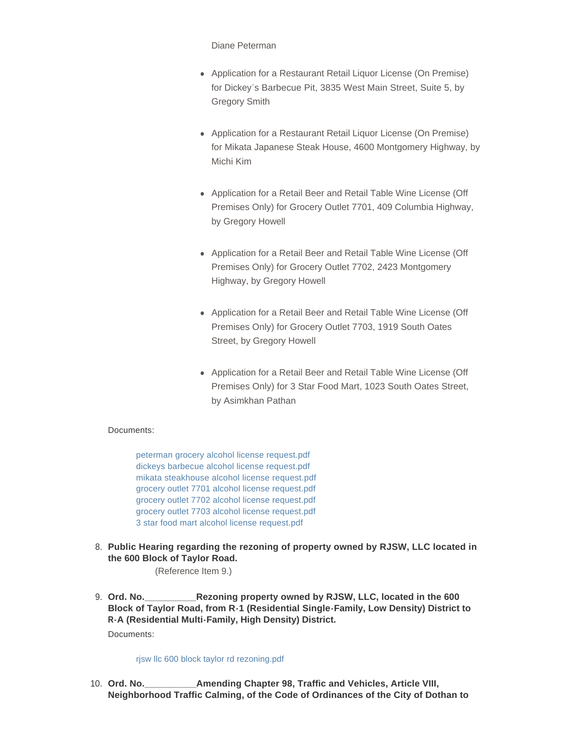Diane Peterman

- Application for a Restaurant Retail Liquor License (On Premise) for Dickey's Barbecue Pit, 3835 West Main Street, Suite 5, by Gregory Smith
- Application for a Restaurant Retail Liquor License (On Premise) for Mikata Japanese Steak House, 4600 Montgomery Highway, by Michi Kim
- Application for a Retail Beer and Retail Table Wine License (Off Premises Only) for Grocery Outlet 7701, 409 Columbia Highway, by Gregory Howell
- Application for a Retail Beer and Retail Table Wine License (Off Premises Only) for Grocery Outlet 7702, 2423 Montgomery Highway, by Gregory Howell
- Application for a Retail Beer and Retail Table Wine License (Off Premises Only) for Grocery Outlet 7703, 1919 South Oates Street, by Gregory Howell
- Application for a Retail Beer and Retail Table Wine License (Off Premises Only) for 3 Star Food Mart, 1023 South Oates Street, by Asimkhan Pathan

# Documents:

[peterman grocery alcohol license request.pdf](http://www.dothan.org/AgendaCenter/ViewFile/Item/7605?fileID=11937) [dickeys barbecue alcohol license request.pdf](http://www.dothan.org/AgendaCenter/ViewFile/Item/7605?fileID=11938) [mikata steakhouse alcohol license request.pdf](http://www.dothan.org/AgendaCenter/ViewFile/Item/7605?fileID=11939) [grocery outlet 7701 alcohol license request.pdf](http://www.dothan.org/AgendaCenter/ViewFile/Item/7605?fileID=11940) [grocery outlet 7702 alcohol license request.pdf](http://www.dothan.org/AgendaCenter/ViewFile/Item/7605?fileID=11941) [grocery outlet 7703 alcohol license request.pdf](http://www.dothan.org/AgendaCenter/ViewFile/Item/7605?fileID=11942) [3 star food mart alcohol license request.pdf](http://www.dothan.org/AgendaCenter/ViewFile/Item/7605?fileID=11943)

**Public Hearing regarding the rezoning of property owned by RJSW, LLC located in**  8. **the 600 Block of Taylor Road.**

(Reference Item 9.)

**Rezoning property owned by RJSW, LLC, located in the 600 Block of Taylor Road, from R-1 (Residential Single-Family, Low Density) District to R-A (Residential Multi-Family, High Density) District.** 9. Ord. No. Documents:

[rjsw llc 600 block taylor rd rezoning.pdf](http://www.dothan.org/AgendaCenter/ViewFile/Item/7588?fileID=11925)

**Amending Chapter 98, Traffic and Vehicles, Article VIII, Neighborhood Traffic Calming, of the Code of Ordinances of the City of Dothan to**  10. Ord. No.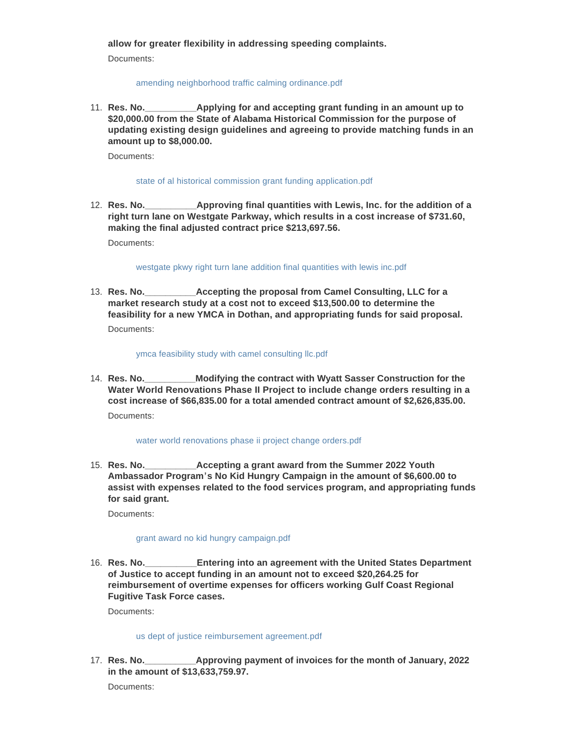**allow for greater flexibility in addressing speeding complaints.**

Documents:

## [amending neighborhood traffic calming ordinance.pdf](http://www.dothan.org/AgendaCenter/ViewFile/Item/7589?fileID=11926)

**Applying for and accepting grant funding in an amount up to \$20,000.00 from the State of Alabama Historical Commission for the purpose of updating existing design guidelines and agreeing to provide matching funds in an amount up to \$8,000.00.** 11. Res. No.

Documents:

### [state of al historical commission grant funding application.pdf](http://www.dothan.org/AgendaCenter/ViewFile/Item/7590?fileID=11927)

**Approving final quantities with Lewis, Inc. for the addition of a right turn lane on Westgate Parkway, which results in a cost increase of \$731.60, making the final adjusted contract price \$213,697.56.** 12. Res. No.

Documents:

[westgate pkwy right turn lane addition final quantities with lewis inc.pdf](http://www.dothan.org/AgendaCenter/ViewFile/Item/7591?fileID=11928)

**Recepting the proposal from Camel Consulting, LLC for a market research study at a cost not to exceed \$13,500.00 to determine the feasibility for a new YMCA in Dothan, and appropriating funds for said proposal.** 13. Res. No. Documents:

[ymca feasibility study with camel consulting llc.pdf](http://www.dothan.org/AgendaCenter/ViewFile/Item/7592?fileID=11929)

**Modifying the contract with Wyatt Sasser Construction for the Water World Renovations Phase II Project to include change orders resulting in a cost increase of \$66,835.00 for a total amended contract amount of \$2,626,835.00.** 14. Res. No. Documents:

#### [water world renovations phase ii project change orders.pdf](http://www.dothan.org/AgendaCenter/ViewFile/Item/7593?fileID=11930)

**Reserventing a grant award from the Summer 2022 Youth Ambassador Program's No Kid Hungry Campaign in the amount of \$6,600.00 to assist with expenses related to the food services program, and appropriating funds for said grant.** 15. Res. No.

Documents:

## [grant award no kid hungry campaign.pdf](http://www.dothan.org/AgendaCenter/ViewFile/Item/7594?fileID=11931)

**Entering into an agreement with the United States Department of Justice to accept funding in an amount not to exceed \$20,264.25 for reimbursement of overtime expenses for officers working Gulf Coast Regional Fugitive Task Force cases.** 16. Res. No.

Documents:

#### [us dept of justice reimbursement agreement.pdf](http://www.dothan.org/AgendaCenter/ViewFile/Item/7595?fileID=11932)

**Approving payment of invoices for the month of January, 2022 in the amount of \$13,633,759.97.** 17. Res. No.

Documents: